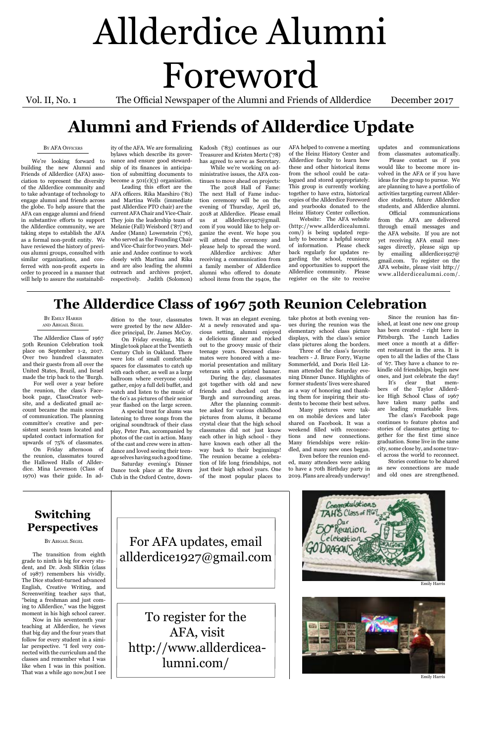# Allderdice Alumni Foreword

Vol. II, No. 1 The Official Newspaper of the Alumni and Friends of Allderdice December 2017

#### By AFA Officers

ity of the AFA. We are formalizing bylaws which describe its governance and ensure good stewardship of its finances in anticipation of submitting documents to become a  $501(c)(3)$  organization.

We're looking forward to building the new Alumni and Friends of Allderdice (AFA) association to represent the diversity of the Allderdice community and to take advantage of technology to AFA officers. Rika Maeshiro ('81) engage alumni and friends across the globe. To help assure that the AFA can engage alumni and friend in substantive efforts to support the Allderdice community, we are taking steps to establish the AFA as a formal non-profit entity. We have reviewed the history of previous alumni groups, consulted with similar organizations, and conferred with non-profit experts in order to proceed in a manner that will help to assure the sustainabil-

# **Alumni and Friends of Allderdice Update**

Leading this effort are the and Martina Wells (immediate past Allderdice PTO chair) are the current AFA Chair and Vice-Chair. They join the leadership team of Melanie (Fall) Weisbord ('87) and Andee (Mann) Lowenstein ('76), who served as the Founding Chair and Vice-Chair for two years. Melanie and Andee continue to work closely with Martina and Rika and are also leading the alumni outreach and archives project, respectively. Judith (Solomon) Kadosh ('83) continues as our Treasurer and Kristen Mertz ('78) has agreed to serve as Secretary.

While we're working on administrative issues, the AFA continues to move ahead on projects:

The 2018 Hall of Fame: The next Hall of Fame induction ceremony will be on the evening of Thursday, April 26, 2018 at Allderdice. Please email us at allderdice1927@gmail. com if you would like to help organize the event. We hope you will attend the ceremony and please help to spread the word.

Allderdice archives: After receiving a communication from a family member of Allderdice alumni who offered to donate school items from the 1940s, the AFA helped to convene a meeting of the Heinz History Center and Allderdice faculty to learn how these and other historical items from the school could be catalogued and stored appropriately. This group is currently working together to have extra, historical copies of the Allderdice Foreword and yearbooks donated to the Heinz History Center collection.

Website: The AFA website (http://www.allderdicealumni. com/) is being updated regularly to become a helpful source of information. Please check back regularly for updates regarding the school, reunions, and opportunities to support the Allderdice community. Please register on the site to receive

updates and communications from classmates automatically.

Please contact us if you would like to become more involved in the AFA or if you have ideas for the group to pursue. We are planning to have a portfolio of activities targeting current Allderdice students, future Allderdice students, and Allderdice alumni.

Official communications from the AFA are delivered through email messages and the AFA website. If you are not yet receiving AFA email messages directly, please sign up by emailing allderdice1927@ gmail.com. To register on the AFA website, please visit http:// www.allderdicealumni.com/.

#### By Emily Harris and Abigail Segel

The Allderdice Class of 1967 50th Reunion Celebration took place on September 1-2, 2017. Over two hundred classmates and their guests from all over the United States, Brazil, and Israel made the trip back to the 'Burgh.

For well over a year before the reunion, the class's Facebook page, ClassCreator website, and a dedicated gmail account became the main sources of communication. The planning committee's creative and persistent search team located and updated contact information for upwards of 75% of classmates.

On Friday afternoon of the reunion, classmates toured the Hallowed Halls of Allderdice. Mina Levenson (Class of 1970) was their guide. In addition to the tour, classmates were greeted by the new Allderdice principal, Dr. James McCoy.

On Friday evening, Mix & Mingle took place at the Twentieth Century Club in Oakland. There were lots of small comfortable spaces for classmates to catch up with each other, as well as a large ballroom where everyone could gather, enjoy a full deli buffet, and watch and listen to the music of the 60's as pictures of their senior year flashed on the large screen.

A special treat for alums was listening to three songs from the original soundtrack of their class play, Peter Pan, accompanied by photos of the cast in action. Many of the cast and crew were in attendance and loved seeing their teenage selves having such a good time.

Saturday evening's Dinner Dance took place at the Rivers Club in the Oxford Centre, downtown. It was an elegant evening. At a newly renovated and spacious setting, alumni enjoyed a delicious dinner and rocked out to the groovy music of their teenage years. Deceased classmates were honored with a memorial presentation and military veterans with a printed banner.

During the day, classmates got together with old and new friends and checked out the 'Burgh and surrounding areas.

After the planning committee asked for various childhood pictures from alums, it became crystal clear that the high school classmates did not just know each other in high school - they have known each other all the way back to their beginnings! The reunion became a celebration of life long friendships, not just their high school years. One of the most popular places to

# **The Allderdice Class of 1967 50th Reunion Celebration**

Emily Harris

Emily Harris



The transition from eighth grade to ninth is big for every student, and Dr. Josh Slifkin (class of 1987) remembers his vividly. The Dice student-turned advanced English, Creative Writing, and Screenwriting teacher says that, "being a freshman and just coming to Allderdice," was the biggest moment in his high school career.

Now in his seventeenth year teaching at Allderdice, he views that big day and the four years that follow for every student in a similar perspective. "I feel very connected with the curriculum and the classes and remember what I was like when I was in this position. That was a while ago now,but I see

# **Switching Perspectives**

BY ABIGAIL SEGEL





allderdice1927@gmail.com

To register for the AFA, visit http://www.allderdicealumni.com/

take photos at both evening venues during the reunion was the elementary school class picture displays, with the class's senior class pictures along the borders.

Three of the class's favorite teachers - J. Bruce Forry, Wayne Sommerfeld, and Doris Heil Litman attended the Saturday evening Dinner Dance. Highlights of former students' lives were shared as a way of honoring and thanking them for inspiring their students to become their best selves.

Many pictures were taken on mobile devices and later shared on Facebook. It was a weekend filled with reconnections and new connections. Many friendships were rekindled, and many new ones began.

Even before the reunion ended, many attendees were asking to have a 70th Birthday party in 2019. Plans are already underway!

Since the reunion has finished, at least one new one group has been created - right here in Pittsburgh. The Lunch Ladies meet once a month at a different restaurant in the area. It is open to all the ladies of the Class of '67. They have a chance to rekindle old friendships, begin new ones, and just celebrate the day!

It's clear that members of the Taylor Allderdice High School Class of 1967 have taken many paths and are leading remarkable lives.

The class's Facebook page continues to feature photos and stories of classmates getting together for the first time since graduation. Some live in the same city, some close by, and some travel across the world to reconnect.

Stories continue to be shared as new connections are made and old ones are strengthened.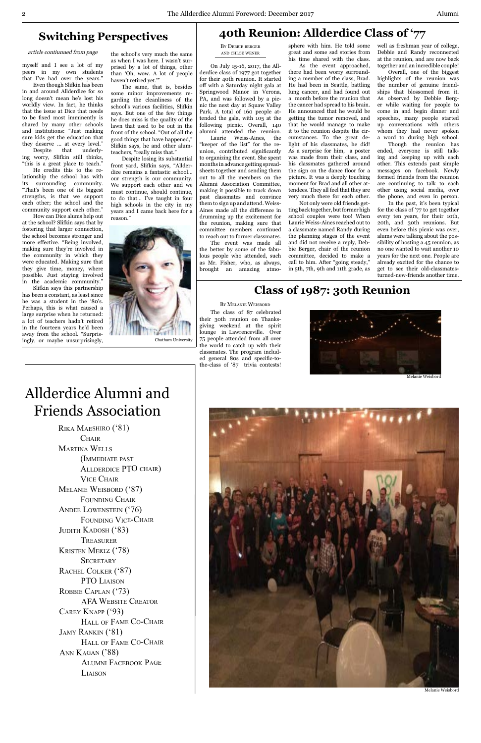## **Switching Perspectives**

article contiunued from page

myself and I see a lot of my peers in my own students that I've had over the years."

Even though Slifkin has been in and around Allderdice for so long doesn't mean he's lost his worldly view. In fact, he thinks that the issue at Dice that needs to be fixed most imminently is shared by many other schools and institutions: "Just making sure kids get the education that they deserve … at every level." Despite that underly-

ing worry, Slifkin still thinks, "this is a great place to teach."

He credits this to the relationship the school has with its surrounding community. "That's been one of its biggest strengths, is that we support each other; the school and the community support each other."

How can Dice alums help out at the school? Slifkin says that by fostering that larger connection, the school becomes stronger and more effective. "Being involved, making sure they're involved in the community in which they were educated. Making sure that they give time, money, where possible. Just staying involved in the academic community."

Slifkin says this partnership has been a constant, as least since he was a student in the '80's. Perhaps, this is what caused a large surprise when he returned: a lot of teachers hadn't retired in the fourteen years he'd been away from the school. "Surprisingly, or maybe unsurprisingly,

the school's very much the same as when I was here. I wasn't surprised by a lot of things, other than 'Oh, wow. A lot of people haven't retired yet.'"

The same, that is, besides some minor improvements regarding the cleanliness of the school's various facilities, Slifkin says. But one of the few things he does miss is the quality of the lawn that used to be out in the front of the school. "Out of all the good things that have happened," Slifkin says, he and other alumteachers, "really miss that."

Despite losing its substantial front yard, Slifkin says, "Allderdice remains a fantastic school… our strength is our community. We support each other and we must continue, should continue, to do that… I've taught in four high schools in the city in my years and I came back here for a reason."



By Debbie berger and chloe wener

On July 15-16, 2017, the Allderdice class of 1977 got together for their 40th reunion. It started off with a Saturday night gala at Springwood Manor in Verona, PA, and was followed by a picnic the next day at Squaw Valley Park. A total of 160 people attended the gala, with 105 at the following picnic. Overall, 140 alumni attended the reunion.

Rika Maeshiro ('81) **CHAIR** Martina Wells (Immediate past Allderdice PTO chair) Vice Chair Melanie Weisbord ('87) FOUNDING CHAIR ANDEE LOWENSTEIN ('76) Founding Vice-Chair JUDITH KADOSH ('83) **TREASURER** 



Kristen Mertz ('78) **SECRETARY** RACHEL COLKER ('87) PTO LIAISON ROBBIE CAPLAN ('73) AFA Website Creator Carey Knapp ('93) Hall of Fame Co-Chair JAMY RANKIN ('81) HALL OF FAME CO-CHAIR ANN KAGAN ('88) Alumni Facebook Page **LIAISON** 

Laurie Weiss-Aines, the "keeper of the list" for the reunion, contributed significantly to organizing the event. She spent months in advance getting spreadsheets together and sending them out to all the members on the Alumni Association Committee, making it possible to track down past classmates and convince them to sign up and attend. Weiss-Aines made all the difference in drumming up the excitement for the reunion, making sure that committee members continued to reach out to former classmates.

The event was made all the better by some of the fabulous people who attended, such as Mr. Fisher, who, as always, brought an amazing atmosphere with him. He told some great and some sad stories from his time shared with the class.

As the event approached, there had been worry surrounding a member of the class, Brad. He had been in Seattle, battling lung cancer, and had found out a month before the reunion that the cancer had spread to his brain. He announced that he would be getting the tumor removed, and that he would manage to make it to the reunion despite the circumstances. To the great delight of his classmates, he did! As a surprise for him, a poster was made from their class, and his classmates gathered around the sign on the dance floor for a picture. It was a deeply touching moment for Brad and all other attendees. They all feel that they are very much there for each other.

Not only were old friends getting back together, but former high school couples were too! When Laurie Weiss-Aines reached out to a classmate named Randy during the planning stages of the event and did not receive a reply, Debbie Berger, chair of the reunion committee, decided to make a call to him. After "going steady," in 5th, 7th, 9th and 11th grade, as

well as freshman year of college, Debbie and Randy reconnected at the reunion, and are now back together and an incredible couple!

Overall, one of the biggest highlights of the reunion was the number of genuine friendships that blossomed from it. As observed by Debbie Berger while waiting for people to come in and begin dinner and speeches, many people started up conversations with others whom they had never spoken a word to during high school.

Though the reunion has ended, everyone is still talking and keeping up with each other. This extends past simple messages on facebook. Newly formed friends from the reunion are continuing to talk to each other using social media, over the phone, and even in person.

In the past, it's been typical for the class of '77 to get together every ten years, for their 10th, 20th, and 30th reunions. But even before this picnic was over, alums were talking about the possibility of hosting a 45 reunion, as no one wanted to wait another 10 years for the next one. People are already excited for the chance to get to see their old-classmatesturned-new-friends another time.

# **40th Reunion: Allderdice Class of '77**

# Allderdice Alumni and Friends Association

The class of 87 celebrated their 30th reunion on Thanksgiving weekend at the spirit lounge in Lawrenceville. Over 75 people attended from all over the world to catch up with their classmates. The program included general 80s and specific-tothe-class of '87 trivia contests!

## **Class of 1987: 30th Reunion**

#### By Melanie Weisbord



Melanie Weisbord

Melanie Weisbord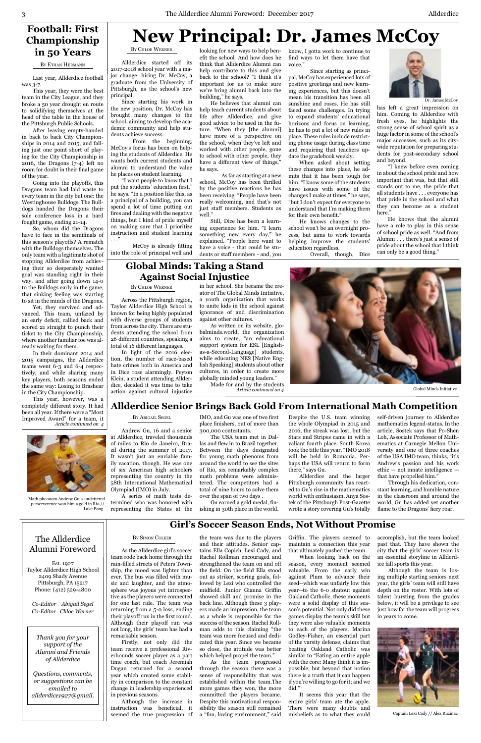# **New Principal: Dr. James McCoy**

The Allderdice

BY SIMON COLKER

#### Alumni Foreword

Est. 1927 Taylor Allderdice High School 2409 Shady Avenue Pittsburgh, PA 15217 Phone: (412) 529-4800

*Co-Editor Abigail Segel Co-Editor Chloe Werner*

*Thank you for your support of the Alumni and Friends of Allderdice*

*Questions, comments, or suggestions can be emailed to allderdice1927@gmail.* By Chloe Werner

Allderdice started off its 2017-2018 school year with a major change: hiring Dr. McCoy, a graduate from the University of Pittsburgh, as the school's new principal.

Since starting his work in the new position, Dr. McCoy has brought many changes to the school, aiming to develop the academic community and help students achieve success.

From the beginning, McCoy's focus has been on helping the students of Allderdice. He wants both current students and alumni to understand the value he places on student learning.

"I want people to know that I put the students' education first," he says. "In a position like this, as a principal of a building, you can spend a lot of time putting out fires and dealing with the negative things, but I kind of pride myself on making sure that I prioritize instruction and student learning

. . ."

McCoy is already fitting into the role of principal well and know, I gotta work to continue to find ways to let them have that voice."

As far as starting at a new school, McCoy has been thrilled by the positive reactions he has been receiving. "People have been really welcoming, and that's not just staff members. Students as well.

Since starting as principal, McCoy has experienced lots of positive greetings and new learning experiences, but this doesn't mean his transition has been all sunshine and roses. He has still faced some challenges. In trying to expand students' educational horizons and focus on learning, he has to put a lot of new rules in place. These rules include restricting phone usage during class time and requiring that teachers update the gradebook weekly.

When asked about setting these changes into place, he admits that it has been tough for him. "I know some of the students have issues with some of the changes I make at times," he says, "but I don't expect for everyone to understand that I'm making them for their own benefit."

He knows changes to the school won't be an overnight process, but aims to work towards helping improve the students' education regardless.

Overall, though, Dice

looking for new ways to help benefit the school. And how does he think that Allderdice Alumni can help contribute to this and give back to the school? "I think it's important for us to make sure we're bring alumni back into the building," he says.

He believes that alumni can help teach current students about life after Allderdice, and give good advice to be used in the future. "When they [the alumni] have more of a perspective on the school, when they've left and worked with other people, gone to school with other people, they have a different view of things," he says.

Still, Dice has been a learning experience for him. "I learn something new every day," he explained. "People here want to have a voice - that could be students or staff members - and, you has left a great impression on him. Coming to Allderdice with fresh eyes, he highlights the strong sense of school spirit as a huge factor in some of the school's major successes, such as its citywide reputation for preparing students for post-secondary school and beyond.

"I knew before even coming in about the school pride and how important that was, but that still stands out to me, the pride that all students have . . . everyone has that pride in the school and what they can become as a student here."

He knows that the alumni have a role to play in this sense of school pride as well. "And from Alumni . . . there's just a sense of pride about the school that I think can only be a good thing."

Last year, Allderdice football was 3-7.

This year, they were the best team in the City League, and they broke a 50 year drought en route to solidifying themselves at the head of the table in the house of the Pittsburgh Public Schools.

After leaving empty-handed in back to back City Championships in 2014 and 2015, and falling just one point short of playing for the City Championship in 2016, the Dragons (7-4) left no room for doubt in their final game of the year.

Going into the playoffs, this Dragons team had laid waste to every team in the city but one: the Westinghouse Bulldogs. The Bulldogs handed the Dragons their sole conference loss in a hard fought game, ending 21-14.

So, whom did the Dragons have to face in the semifinals of this season's playoffs? A rematch with the Bulldogs themselves. The only team with a legitimate shot of stopping Allderdice from achieving their so desperately wanted goal was standing right in their way, and after going down 14-0 to the Bulldogs early in the game, that sinking feeling was starting to sit in the minds of the Dragons.

Yet, they survived and advanced. This team, unfazed by an early deficit, rallied back and scored 21 straight to punch their ticket to the City Championship, where another familiar foe was already waiting for them.

In their dominant 2014 and 2015 campaigns, the Allderdice teams went 6-3 and 6-4 respectively, and while sharing many key players, both seasons ended the same way: Losing to Brashear in the City Championship.

This year, however, was a completely different story. It had been all year.If there were a "Most Improved Award" for a team, it Article continued on 4

## **Football: First Championship in 50 Years**

BY ETHAN HERMANN

#### By Abigail Segel

Andrew Gu, 16 and a senior at Allderdice, traveled thousands of miles to Rio de Janeiro, Brazil during the summer of 2017. It wasn't just an enviable family vacation, though. He was one of six American high schoolers representing the country in the 58th International Mathematical Olympiad (IMO) in July.

A series of math tests determined who was honored with representing the States at the

#### **Global Minds: Taking a Stand Against Social Injustice**



Dr. James McCoy

By Chloe Werner

Across the Pittsburgh region, Taylor Allderdice High School is known for being highly populated with diverse groups of students from across the city. There are students attending the school from 26 different countries, speaking a total of 16 different languages.

In light of the 2016 election, the number of race-based hate crimes both in America and in Dice rose alarmingly. Peyton Klein, a student attending Allderdice, decided it was time to take action against cultural injustice in her school. She became the creator of The Global Minds Initiative, a youth organization that works to unite kids in the school against ignorance of and discrimination against other cultures.

As written on its website, globalminds.world, the organization aims to create, "an educational support system for ESL [Englishas-a-Second-Language] students, while educating NES [Native English Speaking] students about other cultures, in order to create more globally minded young leaders."

Made for and by the students



#### **Allderdice Senior Brings Back Gold From International Math Competition**

IMO, and Gu was one of two first place finishers, out of more than 300,000 contestants.

The USA team met in Dallas and flew in to Brazil together. Between the days designated for young math phenoms from around the world to see the sites of Rio, six remarkably complex math problems were administered. The competitors had a total of nine hours to solve them over the span of two days .

Gu earned a gold medal, finishing in 30th place in the world.

Despite the U.S. team winning the whole Olympiad in 2015 and 2016, the streak was lost, but the Stars and Stripes came in with a valiant fourth place. South Korea took the title this year. "IMO 2018 will be held in Romania. Perhaps the USA will return to form there," says Gu.

Allderdice and the larger Pittsburgh community has reacted to Gu's rise in the mathematics world with enthusiasm. Anya Sostek of the Pittsburgh Post-Gazette wrote a story covering Gu's totally

self-driven journey to Allderdice mathematics legend-status. In the article, Sostek says that Po-Shen Loh, Associate Professor of Mathematics at Carnegie Mellon University and one of three coaches of the USA IMO team, thinks, "it's Andrew's passion and his work ethic — not innate intelligence that have propelled him."

Through his dedication, constant learning, and humble nature in the classroom and around the world, Gu has added yet another flame to the Dragons' fiery roar.



Math pheonom Andrew Gu 's undettered perserverence won him a gold in Rio // Lake Fong

## **Girl's Soccer Season Ends, Not Without Promise**

As the Allderdice girl's soccer team rode back home through the rain-filled streets of Peters Township, the mood was lighter than ever. The bus was filled with music and laughter, and the atmosphere was joyous yet introspective as the players were connected for one last ride. The team was returning from a 5-0 loss, ending their playoff run in the first round. Although their playoff run was not long, the girls' team has had a remarkable season.

Firstly, not only did the team receive a professional Riverhounds soccer player as a part time coach, but coach Jeremiah Dugan returned for a second year which created some stability in comparison to the constant change in leadership experienced in previous seasons.

Although the increase in instruction was beneficial, it seemed the true progression of tains Ella Copich, Lexi Cady, and Rachel Rollman encouraged and strengthened the team on and off the field. On the field Ella stood out as striker, scoring goals, followed by Lexi who controlled the midfield. Junior Gianna Griffin showed skill and promise in the back line. Although these 3 players made an impression, the team as a whole is responsible for the success of the season. Rachel Rollman adds to this claiming "the team was more focused and dedicated this year. Since we became so close, the attitude was better which helped propel the team." As the team progressed

through the season there was a sense of responsibility that was established within the team.The more games they won, the more committed the players became. Despite this motivational responsibility the season still remained a "fun, loving environment," said that ultimately pushed the team.

the team was due to the players Griffin. The players seemed to accomplish, but the team looked and their attitudes. Senior cap-maintain a connection this year past that. They have shown the city that the girls' soccer team is an essential storyline in Allderdice fall sports this year. Although the team is losing multiple starting seniors next year, the girls' team will still have depth on the roster. With lots of talent bursting from the grades below, it will be a privilege to see just how far the team will progress in years to come.

Article continued on 4 Global Minds Initiative

When looking back on the season, every moment seemed valuable. From the early win against Plum to advance their seed--which was unfairly low this year--to the 6-0 shutout against Oakland Catholic, these moments were a solid display of this season's potential. Not only did these games display the team's skill but they were also valuable moments to each of the players. Marina Godley-Fisher, an essential part of the varsity defense, claims that beating Oakland Catholic was similar to "Eating an entire apple with the core: Many think it is impossible, but beyond that notion there is a truth that it can happen if you're willing to go for it; and we did."

It seems this year that the entire girls' team ate the apple. There were many doubts and misbeliefs as to what they could



Captain Lexi Cady // Alex Ruzinac